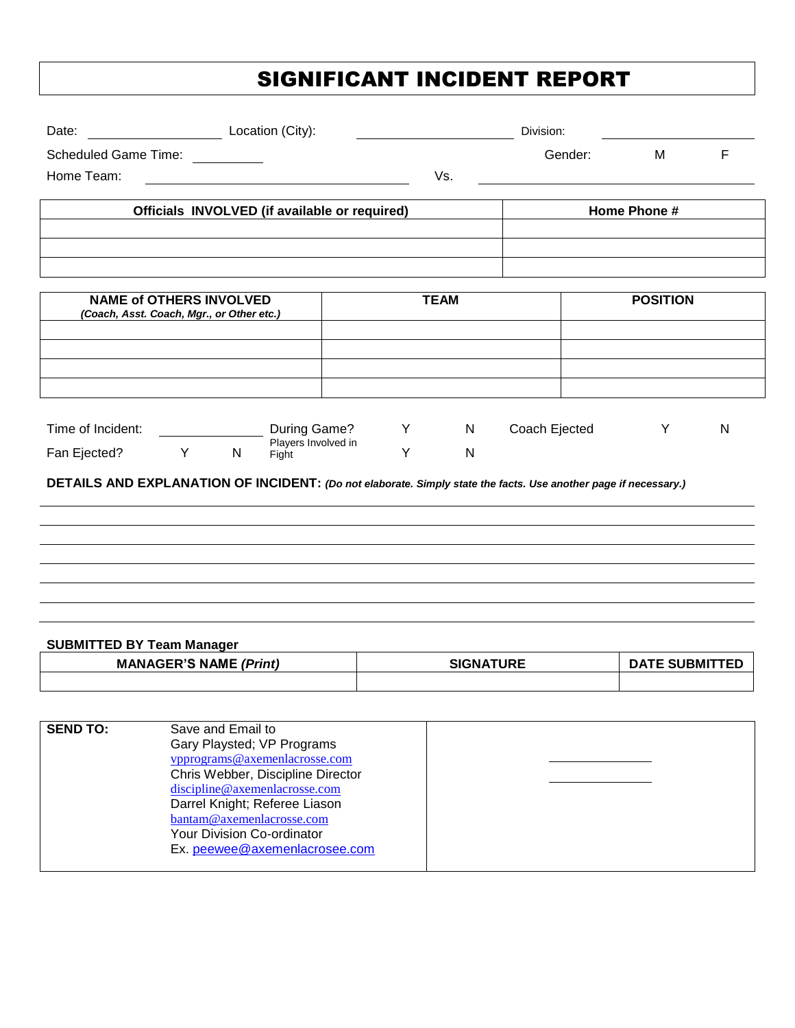## SIGNIFICANT INCIDENT REPORT

| Date: Location (City):                                                                                                                                                                                                                                                                       |                  | Division: |                       |   |  |
|----------------------------------------------------------------------------------------------------------------------------------------------------------------------------------------------------------------------------------------------------------------------------------------------|------------------|-----------|-----------------------|---|--|
| <b>Scheduled Game Time:</b>                                                                                                                                                                                                                                                                  |                  | Gender:   | М                     | F |  |
| Home Team:                                                                                                                                                                                                                                                                                   | Vs.              |           |                       |   |  |
| Officials INVOLVED (if available or required)                                                                                                                                                                                                                                                |                  |           | Home Phone #          |   |  |
|                                                                                                                                                                                                                                                                                              |                  |           |                       |   |  |
|                                                                                                                                                                                                                                                                                              |                  |           |                       |   |  |
| <b>NAME of OTHERS INVOLVED</b><br>(Coach, Asst. Coach, Mgr., or Other etc.)                                                                                                                                                                                                                  | <b>TEAM</b>      |           | <b>POSITION</b>       |   |  |
|                                                                                                                                                                                                                                                                                              |                  |           |                       |   |  |
|                                                                                                                                                                                                                                                                                              |                  |           |                       |   |  |
|                                                                                                                                                                                                                                                                                              |                  |           |                       |   |  |
| Time of Incident:<br>During Game?<br>Y<br>$\mathsf{N}$<br>Coach Ejected<br>Y<br>${\sf N}$<br>Players Involved in<br>Y<br>$\mathsf{N}$<br>Fan Ejected?<br>Y.<br>N<br>Fight<br>DETAILS AND EXPLANATION OF INCIDENT: (Do not elaborate. Simply state the facts. Use another page if necessary.) |                  |           |                       |   |  |
| <b>SUBMITTED BY Team Manager</b>                                                                                                                                                                                                                                                             |                  |           |                       |   |  |
| <b>MANAGER'S NAME (Print)</b>                                                                                                                                                                                                                                                                | <b>SIGNATURE</b> |           | <b>DATE SUBMITTED</b> |   |  |
|                                                                                                                                                                                                                                                                                              |                  |           |                       |   |  |

| <b>SEND TO:</b> | Save and Email to                 |  |
|-----------------|-----------------------------------|--|
|                 | Gary Playsted; VP Programs        |  |
|                 | vpprograms@axemenlacrosse.com     |  |
|                 | Chris Webber, Discipline Director |  |
|                 | discipline@axemenlacrosse.com     |  |
|                 | Darrel Knight; Referee Liason     |  |
|                 | bantam@axemenlacrosse.com         |  |
|                 | Your Division Co-ordinator        |  |
|                 | Ex. peewee@axemenlacrosee.com     |  |
|                 |                                   |  |